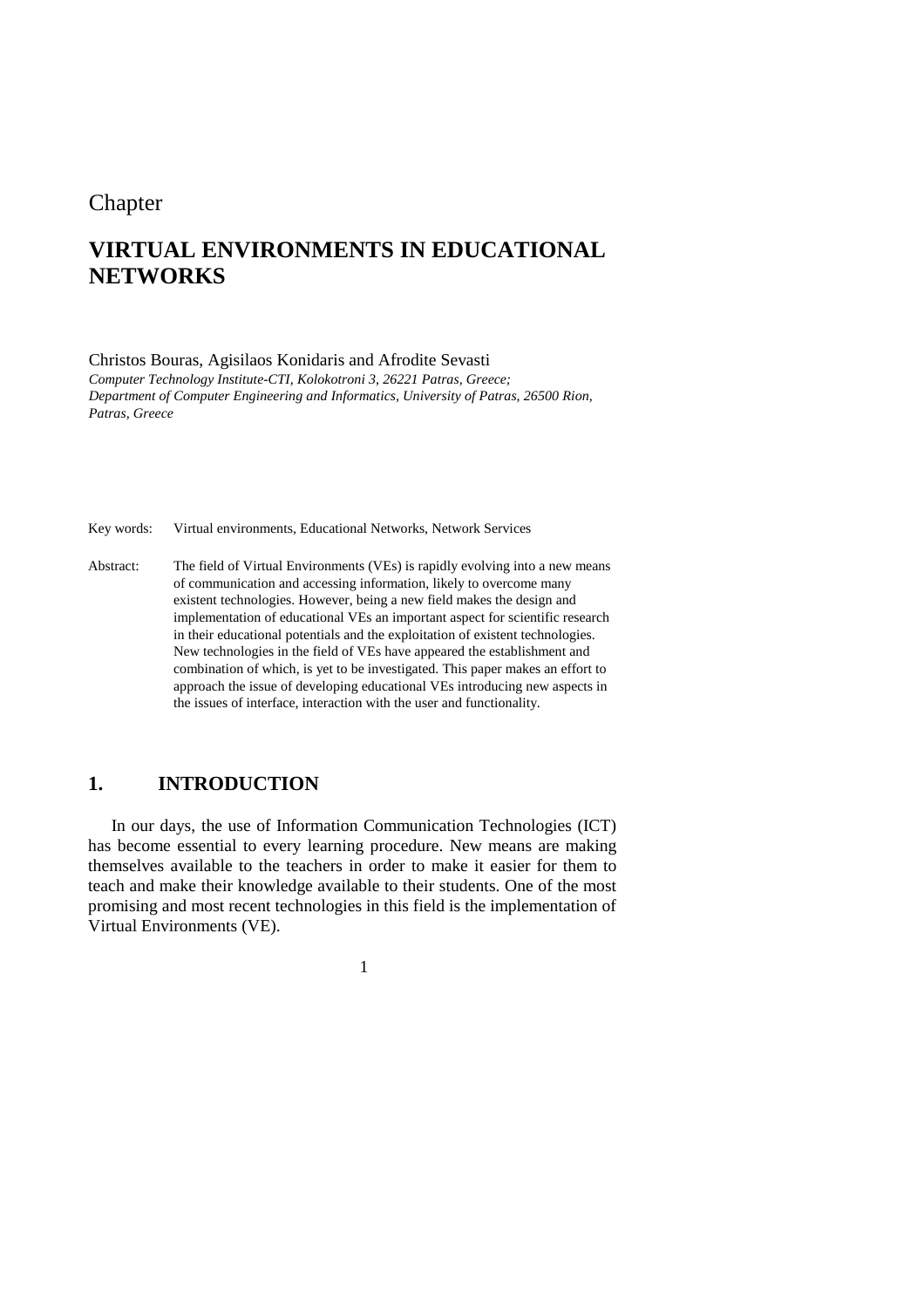## **Chapter**

# **VIRTUAL ENVIRONMENTS IN EDUCATIONAL NETWORKS**

Christos Bouras, Agisilaos Konidaris and Afrodite Sevasti

*Computer Technology Institute-CTI, Kolokotroni 3, 26221 Patras, Greece; Department of Computer Engineering and Informatics, University of Patras, 26500 Rion, Patras, Greece* 

Key words: Virtual environments, Educational Networks, Network Services

Abstract: The field of Virtual Environments (VEs) is rapidly evolving into a new means of communication and accessing information, likely to overcome many existent technologies. However, being a new field makes the design and implementation of educational VEs an important aspect for scientific research in their educational potentials and the exploitation of existent technologies. New technologies in the field of VEs have appeared the establishment and combination of which, is yet to be investigated. This paper makes an effort to approach the issue of developing educational VEs introducing new aspects in the issues of interface, interaction with the user and functionality.

## **1. INTRODUCTION**

In our days, the use of Information Communication Technologies (ICT) has become essential to every learning procedure. New means are making themselves available to the teachers in order to make it easier for them to teach and make their knowledge available to their students. One of the most promising and most recent technologies in this field is the implementation of Virtual Environments (VE).

1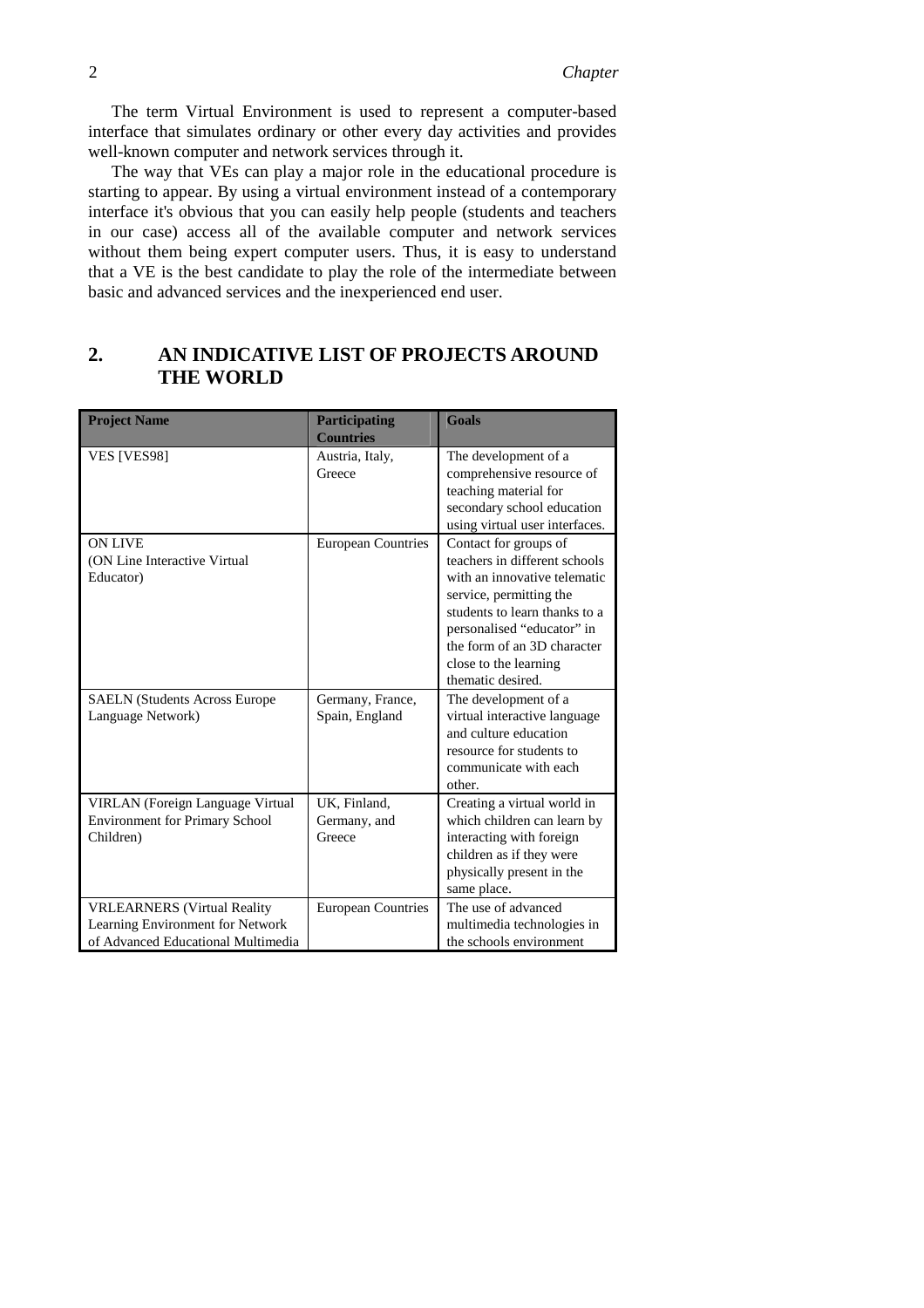The term Virtual Environment is used to represent a computer-based interface that simulates ordinary or other every day activities and provides well-known computer and network services through it.

The way that VEs can play a major role in the educational procedure is starting to appear. By using a virtual environment instead of a contemporary interface it's obvious that you can easily help people (students and teachers in our case) access all of the available computer and network services without them being expert computer users. Thus, it is easy to understand that a VE is the best candidate to play the role of the intermediate between basic and advanced services and the inexperienced end user.

## **2. AN INDICATIVE LIST OF PROJECTS AROUND THE WORLD**

| <b>Project Name</b>                                                                                          | <b>Participating</b><br><b>Countries</b> | <b>Goals</b>                                                                                                                                                                                                                                                  |
|--------------------------------------------------------------------------------------------------------------|------------------------------------------|---------------------------------------------------------------------------------------------------------------------------------------------------------------------------------------------------------------------------------------------------------------|
| VES [VES98]                                                                                                  | Austria, Italy,<br>Greece                | The development of a<br>comprehensive resource of<br>teaching material for<br>secondary school education<br>using virtual user interfaces.                                                                                                                    |
| <b>ON LIVE</b><br>(ON Line Interactive Virtual)<br>Educator)                                                 | <b>European Countries</b>                | Contact for groups of<br>teachers in different schools<br>with an innovative telematic<br>service, permitting the<br>students to learn thanks to a<br>personalised "educator" in<br>the form of an 3D character<br>close to the learning<br>thematic desired. |
| <b>SAELN</b> (Students Across Europe<br>Language Network)                                                    | Germany, France,<br>Spain, England       | The development of a<br>virtual interactive language<br>and culture education<br>resource for students to<br>communicate with each<br>other.                                                                                                                  |
| VIRLAN (Foreign Language Virtual<br><b>Environment for Primary School</b><br>Children)                       | UK, Finland,<br>Germany, and<br>Greece   | Creating a virtual world in<br>which children can learn by<br>interacting with foreign<br>children as if they were<br>physically present in the<br>same place.                                                                                                |
| <b>VRLEARNERS</b> (Virtual Reality<br>Learning Environment for Network<br>of Advanced Educational Multimedia | <b>European Countries</b>                | The use of advanced<br>multimedia technologies in<br>the schools environment                                                                                                                                                                                  |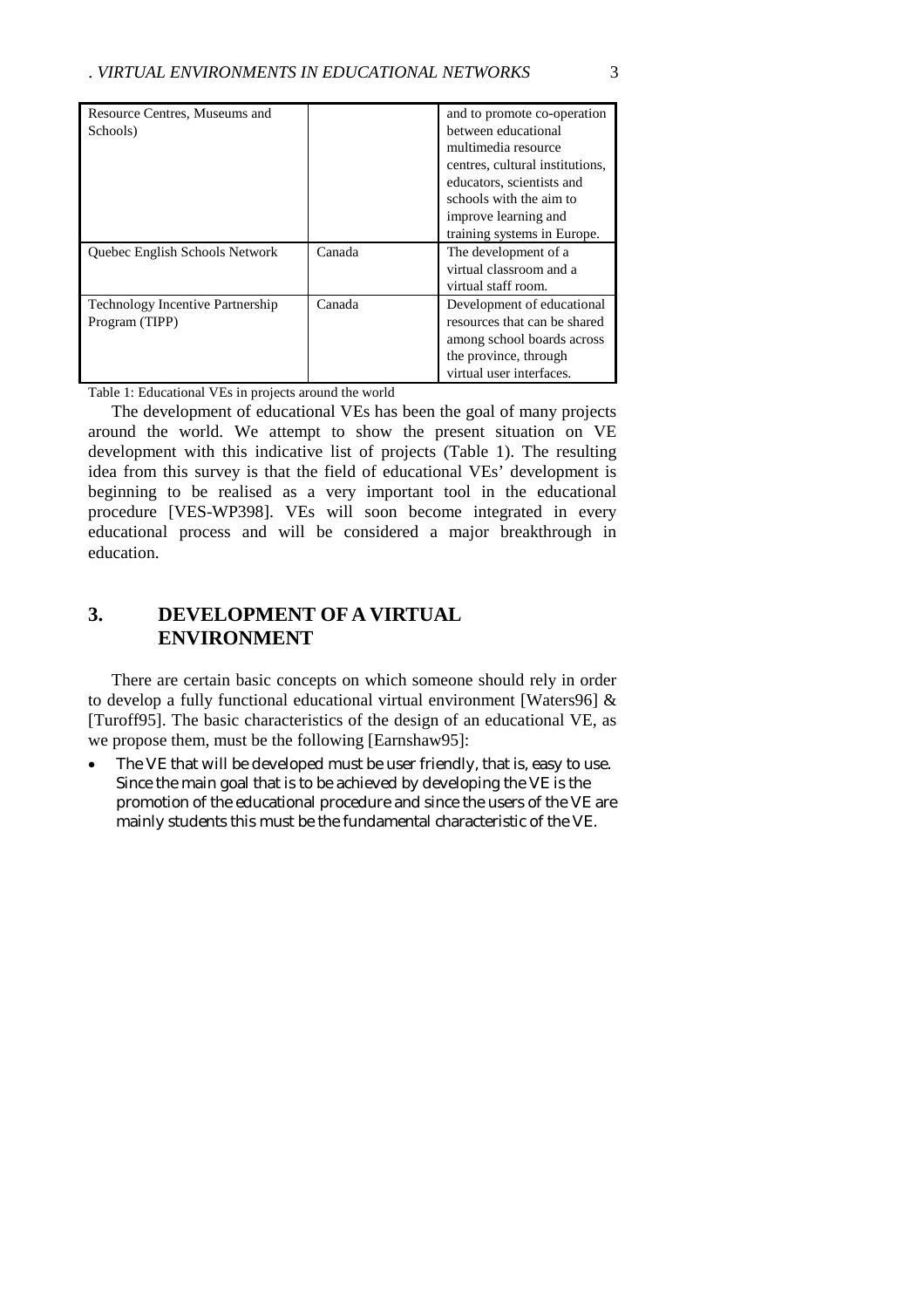| Resource Centres, Museums and           |        | and to promote co-operation     |
|-----------------------------------------|--------|---------------------------------|
| Schools)                                |        | between educational             |
|                                         |        | multimedia resource             |
|                                         |        | centres, cultural institutions, |
|                                         |        | educators, scientists and       |
|                                         |        | schools with the aim to         |
|                                         |        | improve learning and            |
|                                         |        | training systems in Europe.     |
| <b>Ouebec English Schools Network</b>   | Canada | The development of a            |
|                                         |        | virtual classroom and a         |
|                                         |        | virtual staff room.             |
| <b>Technology Incentive Partnership</b> | Canada | Development of educational      |
| Program (TIPP)                          |        | resources that can be shared    |
|                                         |        | among school boards across      |
|                                         |        | the province, through           |
|                                         |        | virtual user interfaces.        |

Table 1: Educational VEs in projects around the world

The development of educational VEs has been the goal of many projects around the world. We attempt to show the present situation on VE development with this indicative list of projects (Table 1). The resulting idea from this survey is that the field of educational VEs' development is beginning to be realised as a very important tool in the educational procedure [VES-WP398]. VEs will soon become integrated in every educational process and will be considered a major breakthrough in education.

## **3. DEVELOPMENT OF A VIRTUAL ENVIRONMENT**

There are certain basic concepts on which someone should rely in order to develop a fully functional educational virtual environment [Waters96] & [Turoff95]. The basic characteristics of the design of an educational VE, as we propose them, must be the following [Earnshaw95]:

The VE that will be developed must be user friendly, that is, easy to use. Since the main goal that is to be achieved by developing the VE is the promotion of the educational procedure and since the users of the VE are mainly students this must be the fundamental characteristic of the VE.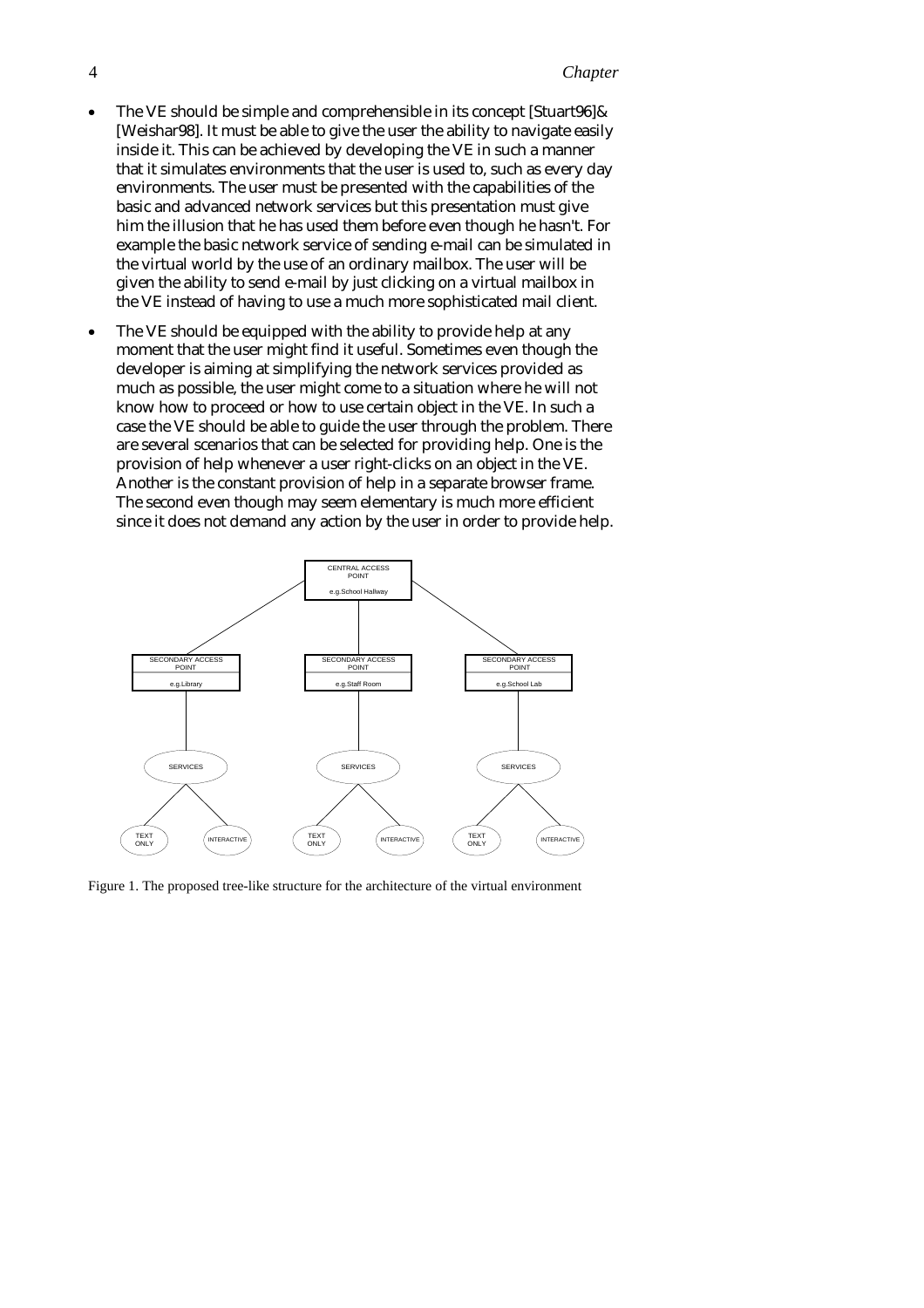- The VE should be simple and comprehensible in its concept [Stuart96] & [Weishar98]. It must be able to give the user the ability to navigate easily inside it. This can be achieved by developing the VE in such a manner that it simulates environments that the user is used to, such as every day environments. The user must be presented with the capabilities of the basic and advanced network services but this presentation must give him the illusion that he has used them before even though he hasn't. For example the basic network service of sending e-mail can be simulated in the virtual world by the use of an ordinary mailbox. The user will be given the ability to send e-mail by just clicking on a virtual mailbox in the VE instead of having to use a much more sophisticated mail client.
- The VE should be equipped with the ability to provide help at any moment that the user might find it useful. Sometimes even though the developer is aiming at simplifying the network services provided as much as possible, the user might come to a situation where he will not know how to proceed or how to use certain object in the VE. In such a case the VE should be able to guide the user through the problem. There are several scenarios that can be selected for providing help. One is the provision of help whenever a user right-clicks on an object in the VE. Another is the constant provision of help in a separate browser frame. The second even though may seem elementary is much more efficient since it does not demand any action by the user in order to provide help.



Figure 1. The proposed tree-like structure for the architecture of the virtual environment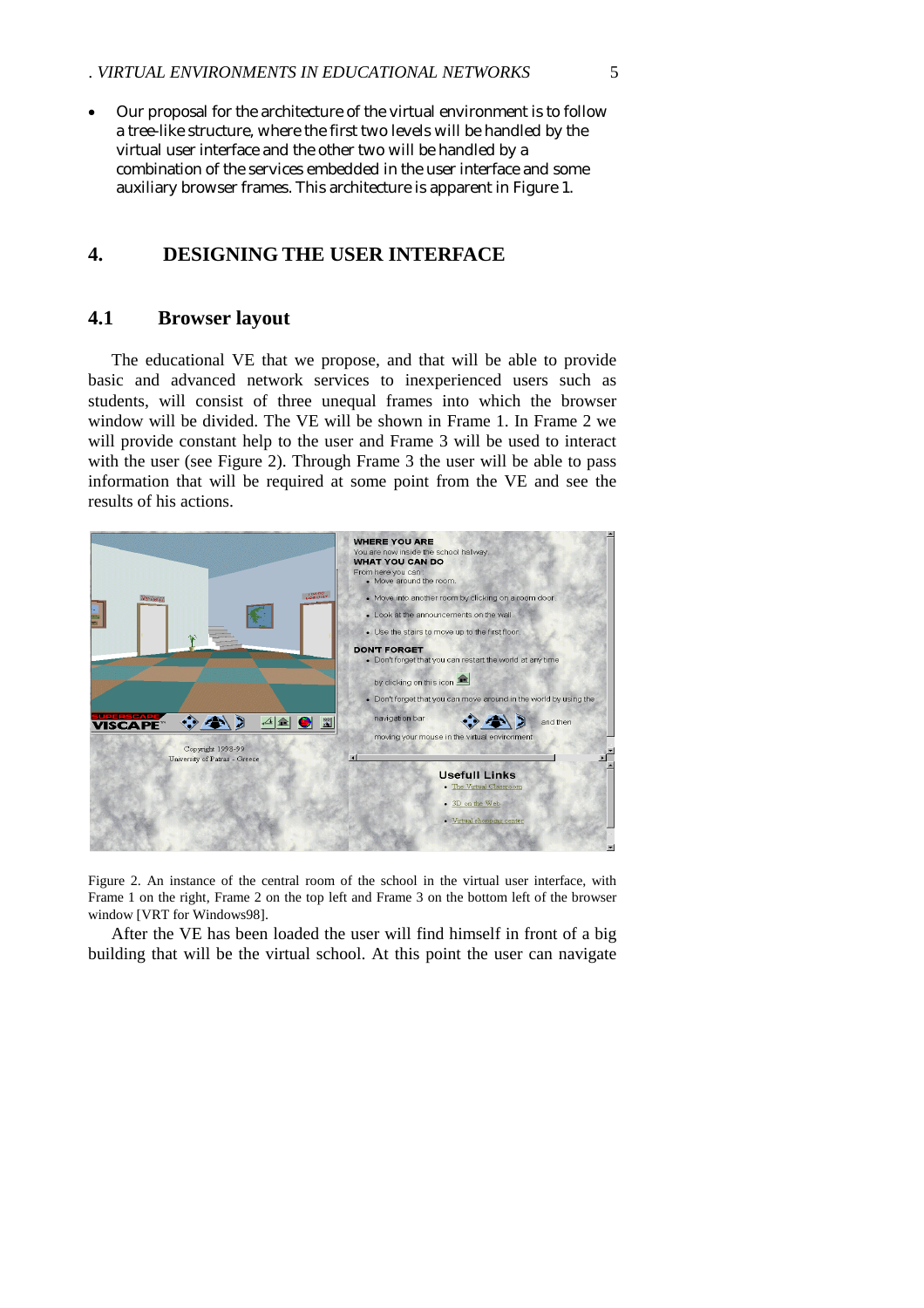• Our proposal for the architecture of the virtual environment is to follow a tree-like structure, where the first two levels will be handled by the virtual user interface and the other two will be handled by a combination of the services embedded in the user interface and some auxiliary browser frames. This architecture is apparent in Figure 1.

## **4. DESIGNING THE USER INTERFACE**

### **4.1 Browser layout**

The educational VE that we propose, and that will be able to provide basic and advanced network services to inexperienced users such as students, will consist of three unequal frames into which the browser window will be divided. The VE will be shown in Frame 1. In Frame 2 we will provide constant help to the user and Frame 3 will be used to interact with the user (see Figure 2). Through Frame 3 the user will be able to pass information that will be required at some point from the VE and see the results of his actions.



Figure 2. An instance of the central room of the school in the virtual user interface, with Frame 1 on the right, Frame 2 on the top left and Frame 3 on the bottom left of the browser window [VRT for Windows98].

After the VE has been loaded the user will find himself in front of a big building that will be the virtual school. At this point the user can navigate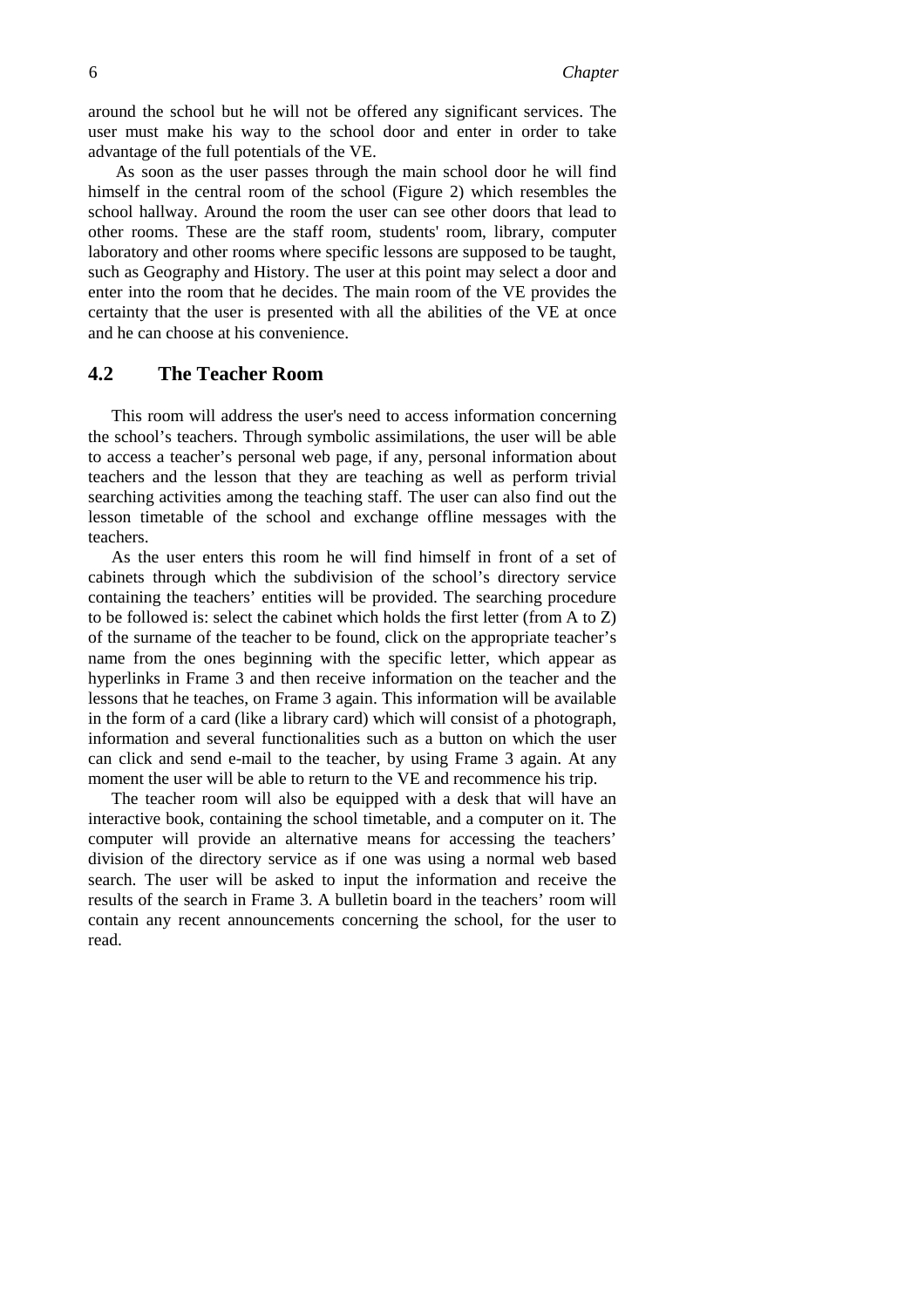around the school but he will not be offered any significant services. The user must make his way to the school door and enter in order to take advantage of the full potentials of the VE.

 As soon as the user passes through the main school door he will find himself in the central room of the school (Figure 2) which resembles the school hallway. Around the room the user can see other doors that lead to other rooms. These are the staff room, students' room, library, computer laboratory and other rooms where specific lessons are supposed to be taught, such as Geography and History. The user at this point may select a door and enter into the room that he decides. The main room of the VE provides the certainty that the user is presented with all the abilities of the VE at once and he can choose at his convenience.

### **4.2 The Teacher Room**

This room will address the user's need to access information concerning the school's teachers. Through symbolic assimilations, the user will be able to access a teacher's personal web page, if any, personal information about teachers and the lesson that they are teaching as well as perform trivial searching activities among the teaching staff. The user can also find out the lesson timetable of the school and exchange offline messages with the teachers.

As the user enters this room he will find himself in front of a set of cabinets through which the subdivision of the school's directory service containing the teachers' entities will be provided. The searching procedure to be followed is: select the cabinet which holds the first letter (from A to Z) of the surname of the teacher to be found, click on the appropriate teacher's name from the ones beginning with the specific letter, which appear as hyperlinks in Frame 3 and then receive information on the teacher and the lessons that he teaches, on Frame 3 again. This information will be available in the form of a card (like a library card) which will consist of a photograph, information and several functionalities such as a button on which the user can click and send e-mail to the teacher, by using Frame 3 again. At any moment the user will be able to return to the VE and recommence his trip.

The teacher room will also be equipped with a desk that will have an interactive book, containing the school timetable, and a computer on it. The computer will provide an alternative means for accessing the teachers' division of the directory service as if one was using a normal web based search. The user will be asked to input the information and receive the results of the search in Frame 3. A bulletin board in the teachers' room will contain any recent announcements concerning the school, for the user to read.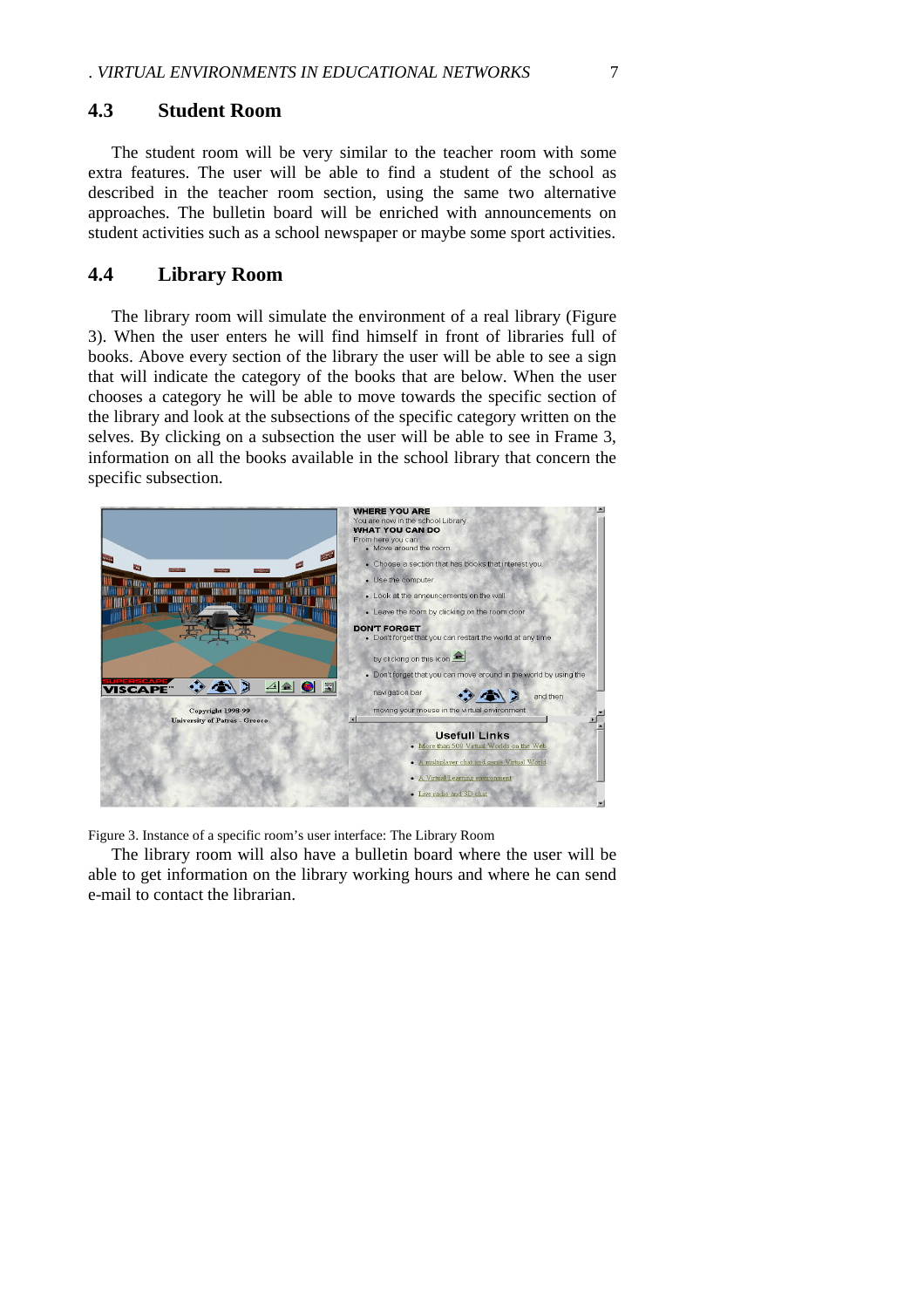#### **4.3 Student Room**

The student room will be very similar to the teacher room with some extra features. The user will be able to find a student of the school as described in the teacher room section, using the same two alternative approaches. The bulletin board will be enriched with announcements on student activities such as a school newspaper or maybe some sport activities.

#### **4.4 Library Room**

The library room will simulate the environment of a real library (Figure 3). When the user enters he will find himself in front of libraries full of books. Above every section of the library the user will be able to see a sign that will indicate the category of the books that are below. When the user chooses a category he will be able to move towards the specific section of the library and look at the subsections of the specific category written on the selves. By clicking on a subsection the user will be able to see in Frame 3, information on all the books available in the school library that concern the specific subsection.



Figure 3. Instance of a specific room's user interface: The Library Room

The library room will also have a bulletin board where the user will be able to get information on the library working hours and where he can send e-mail to contact the librarian.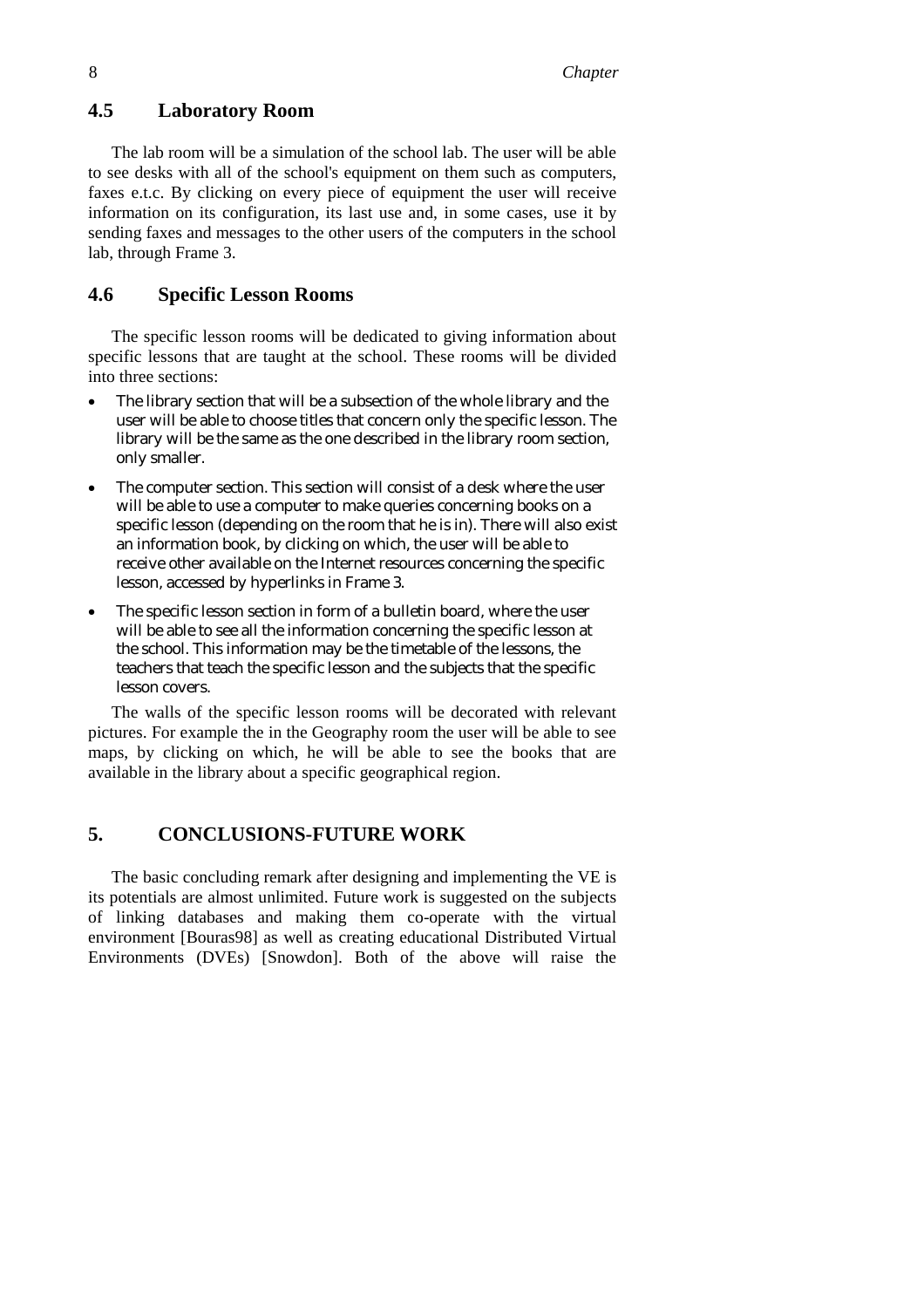### **4.5 Laboratory Room**

The lab room will be a simulation of the school lab. The user will be able to see desks with all of the school's equipment on them such as computers, faxes e.t.c. By clicking on every piece of equipment the user will receive information on its configuration, its last use and, in some cases, use it by sending faxes and messages to the other users of the computers in the school lab, through Frame 3.

#### **4.6 Specific Lesson Rooms**

The specific lesson rooms will be dedicated to giving information about specific lessons that are taught at the school. These rooms will be divided into three sections:

- The library section that will be a subsection of the whole library and the user will be able to choose titles that concern only the specific lesson. The library will be the same as the one described in the library room section, only smaller.
- The computer section. This section will consist of a desk where the user will be able to use a computer to make queries concerning books on a specific lesson (depending on the room that he is in). There will also exist an information book, by clicking on which, the user will be able to receive other available on the Internet resources concerning the specific lesson, accessed by hyperlinks in Frame 3.
- The specific lesson section in form of a bulletin board, where the user will be able to see all the information concerning the specific lesson at the school. This information may be the timetable of the lessons, the teachers that teach the specific lesson and the subjects that the specific lesson covers.

The walls of the specific lesson rooms will be decorated with relevant pictures. For example the in the Geography room the user will be able to see maps, by clicking on which, he will be able to see the books that are available in the library about a specific geographical region.

## **5. CONCLUSIONS-FUTURE WORK**

The basic concluding remark after designing and implementing the VE is its potentials are almost unlimited. Future work is suggested on the subjects of linking databases and making them co-operate with the virtual environment [Bouras98] as well as creating educational Distributed Virtual Environments (DVEs) [Snowdon]. Both of the above will raise the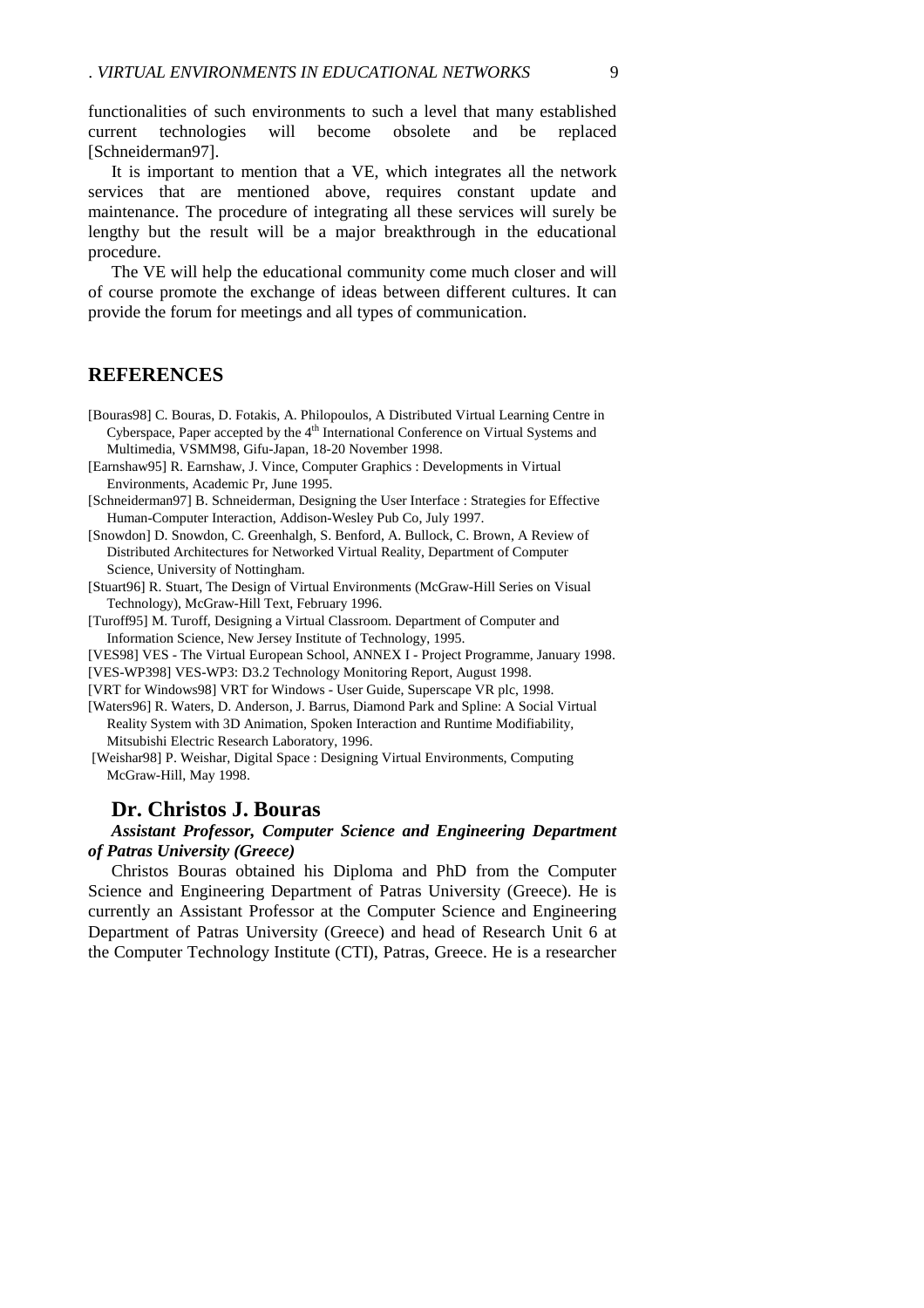functionalities of such environments to such a level that many established current technologies will become obsolete and be replaced [Schneiderman97].

It is important to mention that a VE, which integrates all the network services that are mentioned above, requires constant update and maintenance. The procedure of integrating all these services will surely be lengthy but the result will be a major breakthrough in the educational procedure.

The VE will help the educational community come much closer and will of course promote the exchange of ideas between different cultures. It can provide the forum for meetings and all types of communication.

### **REFERENCES**

- [Bouras98] C. Bouras, D. Fotakis, A. Philopoulos, A Distributed Virtual Learning Centre in Cyberspace, Paper accepted by the 4<sup>th</sup> International Conference on Virtual Systems and Multimedia, VSMM98, Gifu-Japan, 18-20 November 1998.
- [Earnshaw95] R. Earnshaw, J. Vince, Computer Graphics : Developments in Virtual Environments, Academic Pr, June 1995.
- [Schneiderman97] B. Schneiderman, Designing the User Interface : Strategies for Effective Human-Computer Interaction, Addison-Wesley Pub Co, July 1997.

[Snowdon] D. Snowdon, C. Greenhalgh, S. Benford, A. Bullock, C. Brown, A Review of Distributed Architectures for Networked Virtual Reality, Department of Computer Science, University of Nottingham.

[Stuart96] R. Stuart, The Design of Virtual Environments (McGraw-Hill Series on Visual Technology), McGraw-Hill Text, February 1996.

- [Turoff95] M. Turoff, Designing a Virtual Classroom. Department of Computer and Information Science, New Jersey Institute of Technology, 1995.
- [VES98] VES The Virtual European School, ANNEX I Project Programme, January 1998.
- [VES-WP398] VES-WP3: D3.2 Technology Monitoring Report, August 1998.
- [VRT for Windows98] VRT for Windows User Guide, Superscape VR plc, 1998.

[Waters96] R. Waters, D. Anderson, J. Barrus, Diamond Park and Spline: A Social Virtual Reality System with 3D Animation, Spoken Interaction and Runtime Modifiability, Mitsubishi Electric Research Laboratory, 1996.

 [Weishar98] P. Weishar, Digital Space : Designing Virtual Environments, Computing McGraw-Hill, May 1998.

### **Dr. Christos J. Bouras**

#### *Assistant Professor, Computer Science and Engineering Department of Patras University (Greece)*

Christos Bouras obtained his Diploma and PhD from the Computer Science and Engineering Department of Patras University (Greece). He is currently an Assistant Professor at the Computer Science and Engineering Department of Patras University (Greece) and head of Research Unit 6 at the Computer Technology Institute (CTI), Patras, Greece. He is a researcher